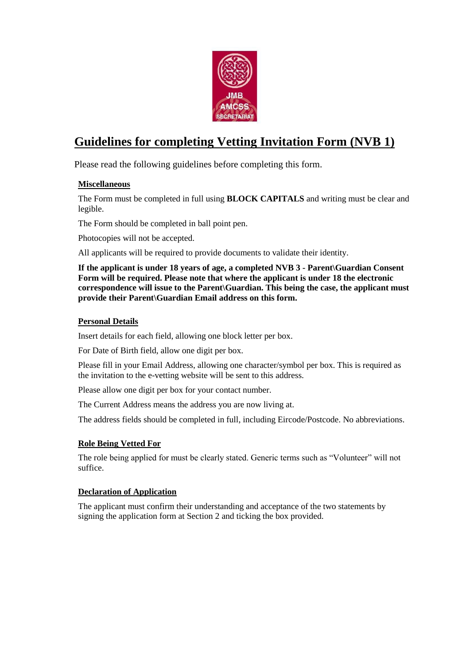

# **Guidelines for completing Vetting Invitation Form (NVB 1)**

Please read the following guidelines before completing this form.

### **Miscellaneous**

The Form must be completed in full using **BLOCK CAPITALS** and writing must be clear and legible.

The Form should be completed in ball point pen.

Photocopies will not be accepted.

All applicants will be required to provide documents to validate their identity.

**If the applicant is under 18 years of age, a completed NVB 3 - Parent\Guardian Consent Form will be required. Please note that where the applicant is under 18 the electronic correspondence will issue to the Parent\Guardian. This being the case, the applicant must provide their Parent\Guardian Email address on this form.**

#### **Personal Details**

Insert details for each field, allowing one block letter per box.

For Date of Birth field, allow one digit per box.

Please fill in your Email Address, allowing one character/symbol per box. This is required as the invitation to the e-vetting website will be sent to this address.

Please allow one digit per box for your contact number.

The Current Address means the address you are now living at.

The address fields should be completed in full, including Eircode/Postcode. No abbreviations.

#### **Role Being Vetted For**

The role being applied for must be clearly stated. Generic terms such as "Volunteer" will not suffice.

#### **Declaration of Application**

The applicant must confirm their understanding and acceptance of the two statements by signing the application form at Section 2 and ticking the box provided.